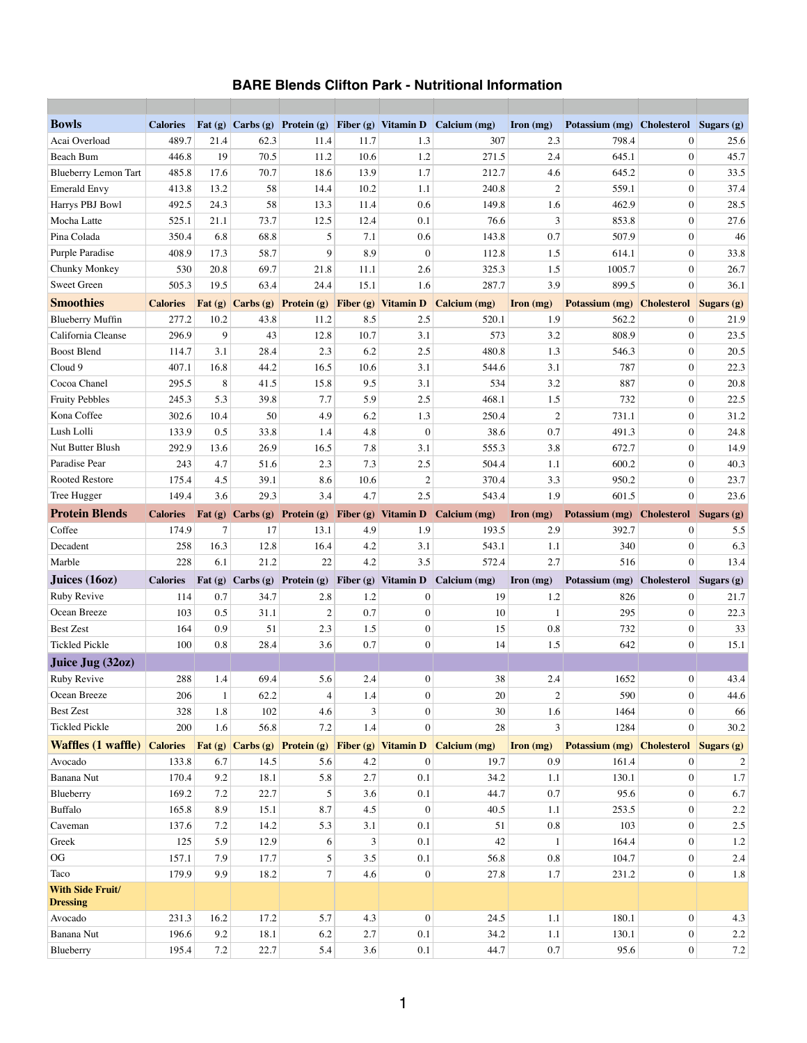## **BARE Blends Clifton Park - Nutritional Information**

| <b>Bowls</b>                              | <b>Calories</b> | Fat $(g)$  |              | $ {\bf Carbs}\>(\bf g}) $ Protein $(\bf g)$         |            | Fiber (g) Vitamin D        | Calcium (mg)                                                   | Iron $(mg)$           | Potassium (mg) | <b>Cholesterol</b>                 | Sugars (g)        |
|-------------------------------------------|-----------------|------------|--------------|-----------------------------------------------------|------------|----------------------------|----------------------------------------------------------------|-----------------------|----------------|------------------------------------|-------------------|
| Acai Overload                             | 489.7           | 21.4       | 62.3         | 11.4                                                | 11.7       | 1.3                        | 307                                                            | 2.3                   | 798.4          | $\overline{0}$                     | 25.6              |
| <b>Beach Bum</b>                          | 446.8           | 19         | 70.5         | 11.2                                                | 10.6       | 1.2                        | 271.5                                                          | 2.4                   | 645.1          | $\overline{0}$                     | 45.7              |
| <b>Blueberry Lemon Tart</b>               | 485.8           | 17.6       | 70.7         | 18.6                                                | 13.9       | 1.7                        | 212.7                                                          | 4.6                   | 645.2          | $\theta$                           | 33.5              |
| <b>Emerald Envy</b>                       | 413.8           | 13.2       | 58           | 14.4                                                | 10.2       | 1.1                        | 240.8                                                          | $\overline{2}$        | 559.1          | $\theta$                           | 37.4              |
| Harrys PBJ Bowl                           | 492.5           | 24.3       | 58           | 13.3                                                | 11.4       | 0.6                        | 149.8                                                          | 1.6                   | 462.9          | $\overline{0}$                     | 28.5              |
| Mocha Latte                               | 525.1           | 21.1       | 73.7         | 12.5                                                | 12.4       | 0.1                        | 76.6                                                           | $\overline{3}$        | 853.8          | $\overline{0}$                     | 27.6              |
| Pina Colada                               | 350.4           | 6.8        | 68.8         | 5                                                   | 7.1        | 0.6                        | 143.8                                                          | 0.7                   | 507.9          | $\overline{0}$                     | 46                |
| Purple Paradise                           | 408.9           | 17.3       | 58.7         | 9                                                   | 8.9        | $\overline{0}$             | 112.8                                                          | 1.5                   | 614.1          | $\overline{0}$                     | 33.8              |
| Chunky Monkey                             | 530             | 20.8       | 69.7         | 21.8                                                | 11.1       | 2.6                        | 325.3                                                          | 1.5                   | 1005.7         | $\overline{0}$                     | 26.7              |
| <b>Sweet Green</b>                        | 505.3           | 19.5       | 63.4         | 24.4                                                | 15.1       | 1.6                        | 287.7                                                          | 3.9                   | 899.5          | $\mathbf{0}$                       | 36.1              |
| <b>Smoothies</b>                          | <b>Calories</b> |            |              | Fat $(g)$ Carbs $(g)$ Protein $(g)$                 |            | <b>Fiber (g)</b> Vitamin D | <b>Calcium (mg)</b>                                            | $\Gamma$ Iron $(mg)$  | Potassium (mg) | <b>Cholesterol</b>                 | <b>Sugars (g)</b> |
| <b>Blueberry Muffin</b>                   | 277.2           | 10.2       | 43.8         | 11.2                                                | 8.5        | 2.5                        | 520.1                                                          | 1.9                   | 562.2          | $\overline{0}$                     | 21.9              |
| California Cleanse                        | 296.9           | 9          | 43           | 12.8                                                | 10.7       | 3.1                        | 573                                                            | 3.2                   | 808.9          | $\Omega$                           | 23.5              |
| <b>Boost Blend</b>                        | 114.7           | 3.1        | 28.4         | 2.3                                                 | 6.2        | 2.5                        | 480.8                                                          | 1.3                   | 546.3          | $\overline{0}$                     | 20.5              |
| Cloud 9                                   | 407.1           | 16.8       | 44.2         | 16.5                                                | 10.6       | 3.1                        | 544.6                                                          | 3.1                   | 787            | $\overline{0}$                     | 22.3              |
| Cocoa Chanel                              | 295.5           | 8          | 41.5         | 15.8                                                | 9.5        | 3.1                        | 534                                                            | 3.2                   | 887            | $\overline{0}$                     | 20.8              |
| <b>Fruity Pebbles</b>                     | 245.3           | 5.3        | 39.8         | 7.7                                                 | 5.9        | 2.5                        | 468.1                                                          | 1.5                   | 732            | $\Omega$                           | 22.5              |
| Kona Coffee                               | 302.6           | 10.4       | 50           | 4.9                                                 | 6.2        | 1.3                        | 250.4                                                          | $\overline{2}$        | 731.1          | $\overline{0}$                     | 31.2              |
| Lush Lolli                                | 133.9           | 0.5        | 33.8         | 1.4                                                 | 4.8        | $\boldsymbol{0}$           | 38.6                                                           | 0.7                   | 491.3          | $\theta$                           | 24.8              |
| <b>Nut Butter Blush</b>                   | 292.9           | 13.6       | 26.9         | 16.5                                                | 7.8        | 3.1                        | 555.3                                                          | 3.8                   | 672.7          | $\Omega$                           | 14.9              |
| Paradise Pear                             | 243             | 4.7        | 51.6         | 2.3                                                 | 7.3        | 2.5                        | 504.4                                                          | 1.1                   | 600.2          | $\overline{0}$                     | 40.3              |
| <b>Rooted Restore</b>                     | 175.4           | 4.5        | 39.1         | 8.6                                                 | 10.6       | $\overline{2}$             | 370.4                                                          | 3.3                   | 950.2          | $\theta$                           | 23.7              |
| Tree Hugger                               | 149.4           | 3.6        | 29.3         | 3.4                                                 | 4.7        | 2.5                        | 543.4                                                          | 1.9                   | 601.5          | $\overline{0}$                     | 23.6              |
| <b>Protein Blends</b>                     | <b>Calories</b> |            |              | Fat (g) Carbs (g) Protein (g) Fiber (g) Vitamin D   |            |                            | Calcium (mg)                                                   | $\Gamma$ Iron $(mg)$  | Potassium (mg) | <b>Cholesterol</b> Sugars (g)      |                   |
| Coffee                                    | 174.9           | 7          | 17           | 13.1                                                | 4.9        | 1.9                        | 193.5                                                          | 2.9                   | 392.7          | $\theta$                           | 5.5               |
| Decadent                                  | 258             | 16.3       | 12.8         | 16.4                                                | 4.2        | 3.1                        | 543.1                                                          | 1.1                   | 340            | $\overline{0}$                     | 6.3               |
| Marble                                    | 228             | 6.1        | 21.2         | 22                                                  | 4.2        | 3.5                        | 572.4                                                          | 2.7                   | 516            | $\overline{0}$                     | 13.4              |
| Juices (16oz)                             | <b>Calories</b> |            |              |                                                     |            |                            | Fat (g) Carbs (g) Protein (g) Fiber (g) Vitamin D Calcium (mg) | $\Gamma$ Iron $(mg)$  | Potassium (mg) | <b>Cholesterol</b> Sugars (g)      |                   |
| <b>Ruby Revive</b>                        |                 |            |              |                                                     |            |                            |                                                                |                       | 826            |                                    | 21.7              |
|                                           | 114             | 0.7        | 34.7         | 2.8                                                 | 1.2        | $\overline{0}$             | 19                                                             | 1.2                   |                | $\overline{0}$                     |                   |
| Ocean Breeze                              | 103             | 0.5        | 31.1         | $\overline{2}$                                      | 0.7        | $\overline{0}$             | 10                                                             |                       | 295            | $\theta$                           | 22.3              |
| <b>Best Zest</b>                          | 164             | 0.9        | 51           | 2.3                                                 | 1.5        | $\overline{0}$             | 15                                                             | 0.8                   | 732            | $\overline{0}$                     | 33                |
| <b>Tickled Pickle</b>                     | 100             | 0.8        | 28.4         | 3.6                                                 | 0.7        | $\boldsymbol{0}$           | 14                                                             | 1.5                   | 642            | $\mathbf{0}$                       | 15.1              |
|                                           |                 |            |              |                                                     |            |                            |                                                                |                       |                |                                    |                   |
| Juice Jug (32oz)                          |                 |            |              |                                                     |            | $\overline{0}$             |                                                                |                       |                | $\overline{0}$                     |                   |
| <b>Ruby Revive</b><br>Ocean Breeze        | 288<br>206      | 1.4        | 69.4         | 5.6                                                 | 2.4        | $\overline{0}$             | 38                                                             | 2.4                   | 1652<br>590    | $\Omega$                           | 43.4              |
|                                           |                 |            | 62.2         | 4                                                   | 1.4<br>3   | $\overline{0}$             | 20                                                             | $\overline{2}$        |                | $\Omega$                           | 44.6              |
| <b>Best Zest</b><br><b>Tickled Pickle</b> | 328             | 1.8<br>1.6 | 102          | 4.6                                                 |            | $\overline{0}$             | 30<br>28                                                       | 1.6<br>$\overline{3}$ | 1464           | $\overline{0}$                     | 66                |
|                                           | 200             |            | 56.8         | 7.2                                                 | 1.4        |                            |                                                                |                       | 1284           |                                    | 30.2              |
| <b>Waffles (1 waffle)</b>                 | <b>Calories</b> |            |              | Fat (g) $Carbs$ (g) Protein (g) Fiber (g) Vitamin D |            |                            | <b>Calcium (mg)</b>                                            | $\Gamma$ Iron $(mg)$  | Potassium (mg) | <b>Cholesterol Sugars (g)</b><br>0 |                   |
| Avocado                                   | 133.8           | 6.7        | 14.5         | 5.6                                                 | 4.2        | $\Omega$                   | 19.7                                                           | 0.9                   | 161.4          | $\theta$                           |                   |
| <b>Banana Nut</b>                         | 170.4           | 9.2        | 18.1         | 5.8                                                 | 2.7        | 0.1                        | 34.2                                                           | 1.1                   | 130.1          | $\overline{0}$                     | 1.7               |
| Blueberry                                 | 169.2           | 7.2        | 22.7         | 5                                                   | 3.6        | 0.1<br>$\overline{0}$      | 44.7                                                           | 0.7                   | 95.6           | $\overline{0}$                     | 6.7               |
| Buffalo                                   | 165.8<br>137.6  | 8.9<br>7.2 | 15.1<br>14.2 | 8.7<br>5.3                                          | 4.5<br>3.1 | 0.1                        | 40.5<br>51                                                     | 1.1<br>0.8            | 253.5<br>103   | $\overline{0}$                     | 2.2               |
| Caveman                                   |                 |            |              |                                                     | 3          |                            |                                                                |                       |                | $\overline{0}$                     | 2.5               |
| Greek<br>OG                               | 125<br>157.1    | 5.9<br>7.9 | 12.9<br>17.7 | 6<br>5                                              | 3.5        | 0.1<br>0.1                 | 42<br>56.8                                                     | 0.8                   | 164.4<br>104.7 | $\overline{0}$                     | 1.2               |
| Taco                                      | 179.9           | 9.9        |              |                                                     |            | $\boldsymbol{0}$           |                                                                |                       |                | $\mathbf{0}$                       | 2.4               |
| <b>With Side Fruit/</b>                   |                 |            | 18.2         | $7\vert$                                            | 4.6        |                            | 27.8                                                           | 1.7                   | 231.2          |                                    | 1.8               |
| <b>Dressing</b>                           |                 |            |              |                                                     |            |                            |                                                                |                       |                |                                    |                   |
| Avocado                                   | 231.3           | 16.2       | 17.2         | 5.7                                                 | 4.3        | $\mathbf{0}$               | 24.5                                                           | 1.1                   | 180.1          | $\overline{0}$                     | 4.3               |
| Banana Nut                                | 196.6           | 9.2        | 18.1         | 6.2                                                 | 2.7        | 0.1                        | 34.2                                                           | 1.1                   | 130.1          | $\overline{0}$                     | $2.2\,$           |